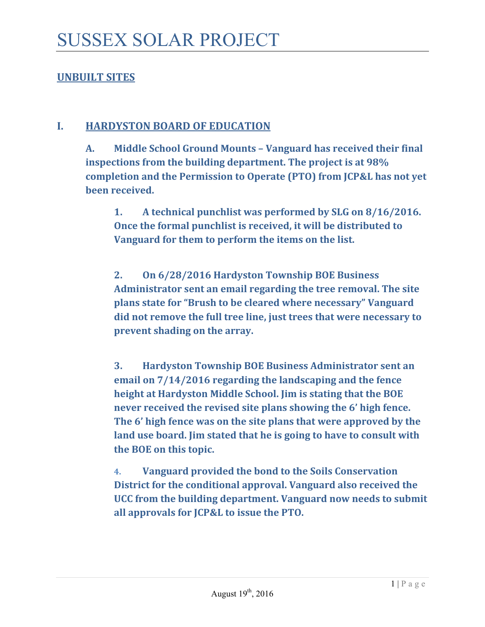## **UNBUILT SITES**

#### **I. HARDYSTON BOARD OF EDUCATION**

**A. Middle School Ground Mounts – Vanguard has received their final inspections from the building department. The project is at 98% completion and the Permission to Operate (PTO) from JCP&L has not yet been received**.

**1. A technical punchlist was performed by SLG on 8/16/2016. Once the formal punchlist is received, it will be distributed to Vanguard for them to perform the items on the list.** 

**2. On 6/28/2016 Hardyston Township BOE Business Administrator sent an email regarding the tree removal. The site plans state for "Brush to be cleared where necessary" Vanguard did not remove the full tree line, just trees that were necessary to prevent shading on the array.** 

**3. Hardyston Township BOE Business Administrator sent an email on 7/14/2016 regarding the landscaping and the fence height at Hardyston Middle School. Jim is stating that the BOE never received the revised site plans showing the 6' high fence. The 6' high fence was on the site plans that were approved by the land use board. Jim stated that he is going to have to consult with the BOE on this topic.** 

**4. Vanguard provided the bond to the Soils Conservation District for the conditional approval. Vanguard also received the UCC from the building department. Vanguard now needs to submit all approvals for JCP&L to issue the PTO.**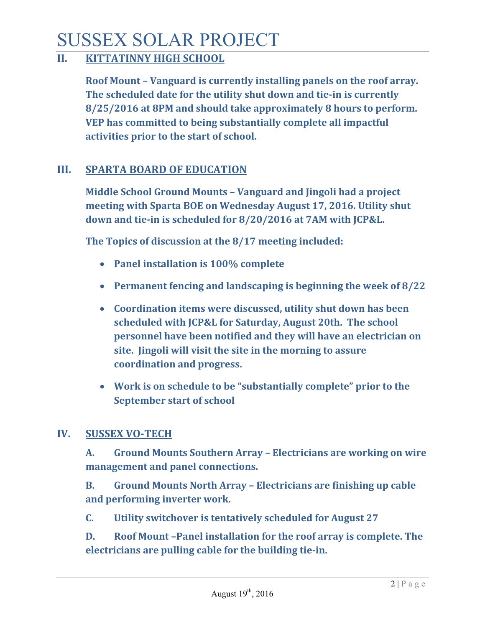# SUSSEX SOLAR PROJECT

## **II. KITTATINNY HIGH SCHOOL**

**Roof Mount – Vanguard is currently installing panels on the roof array. The scheduled date for the utility shut down and tie‐in is currently 8/25/2016 at 8PM and should take approximately 8 hours to perform. VEP has committed to being substantially complete all impactful activities prior to the start of school.**

#### **III. SPARTA BOARD OF EDUCATION**

**Middle School Ground Mounts – Vanguard and Jingoli had a project meeting with Sparta BOE on Wednesday August 17, 2016. Utility shut down and tie‐in is scheduled for 8/20/2016 at 7AM with JCP&L.**

**The Topics of discussion at the 8/17 meeting included:** 

- **Panel installation is 100% complete**
- **Permanent fencing and landscaping is beginning the week of 8/22**
- **Coordination items were discussed, utility shut down has been scheduled with JCP&L for Saturday, August 20th. The school personnel have been notified and they will have an electrician on site. Jingoli will visit the site in the morning to assure coordination and progress.**
- **Work is on schedule to be "substantially complete" prior to the September start of school**

## **IV. SUSSEX VO‐TECH**

**A. Ground Mounts Southern Array – Electricians are working on wire management and panel connections.** 

**B. Ground Mounts North Array – Electricians are finishing up cable and performing inverter work.** 

**C. Utility switchover is tentatively scheduled for August 27**

**D. Roof Mount –Panel installation for the roof array is complete. The electricians are pulling cable for the building tie‐in.**